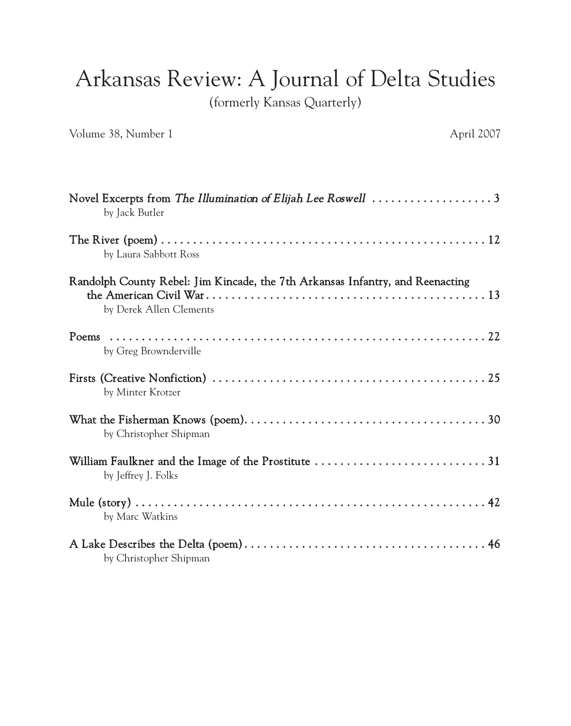## Arkansas Review: A Journal of Delta Studies

(formerly Kansas Quarterly)

Volume 38, Number 1 April 2007

| Novel Excerpts from The Illumination of Elijah Lee Roswell $\dots\dots\dots\dots\dots\dots$<br>by Jack Butler |
|---------------------------------------------------------------------------------------------------------------|
| by Laura Sabbott Ross                                                                                         |
| Randolph County Rebel: Jim Kincade, the 7th Arkansas Infantry, and Reenacting<br>by Derek Allen Clements      |
| by Greg Brownderville                                                                                         |
| by Minter Krotzer                                                                                             |
| by Christopher Shipman                                                                                        |
| by Jeffrey J. Folks                                                                                           |
| by Marc Watkins                                                                                               |
| by Christopher Shipman                                                                                        |